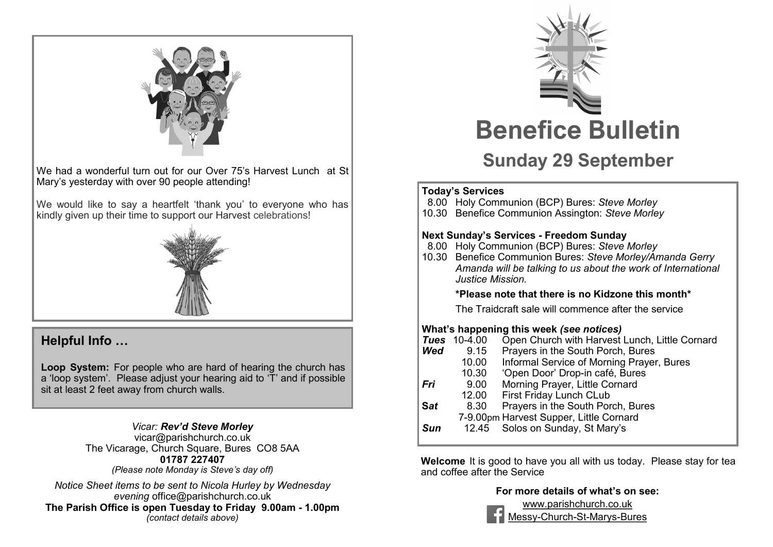

We had a wonderful turn out for our Over 75's Harvest Lunch at St Mary's yesterday with over 90 people attending!

We would like to say a heartfelt 'thank you' to everyone who has kindly given up their time to support our Harvest celebrations!



#### **Helpful Info …**

**Loop System:** For people who are hard of hearing the church has a 'loop system'. Please adjust your hearing aid to 'T' and if possible sit at least 2 feet away from church walls.

#### *Vicar: Rev'd Steve Morley*

vicar@parishchurch.co.uk The Vicarage, Church Square, Bures CO8 5AA **01787 227407**  *(Please note Monday is Steve's day off)*

*Notice Sheet items to be sent to Nicola Hurley by Wednesday evening* office@parishchurch.co.uk **The Parish Office is open Tuesday to Friday 9.00am - 1.00pm**  *(contact details above)*



# **Sunday 29 September**

#### **Today's Services**

- 8.00 Holy Communion (BCP) Bures: *Steve Morley*
- 10.30 Benefice Communion Assington: *Steve Morley*

#### **Next Sunday's Services - Freedom Sunday**

- 8.00 Holy Communion (BCP) Bures: *Steve Morley*
- 10.30 Benefice Communion Bures: *Steve Morley/Amanda Gerry Amanda will be talking to us about the work of International Justice Mission.*

#### **\*Please note that there is no Kidzone this month\***

The Traidcraft sale will commence after the service

#### **What's happening this week** *(see notices)*

|            | <b>Tues</b> 10-4.00 | Open Church with Harvest Lunch, Little Cornard |
|------------|---------------------|------------------------------------------------|
| Wed        | 9.15                | Prayers in the South Porch, Bures              |
|            | 10.00               | Informal Service of Morning Prayer, Bures      |
|            | 10.30               | 'Open Door' Drop-in café, Bures                |
| Fri        | 9.00                | Morning Prayer, Little Cornard                 |
|            | 12.00               | First Friday Lunch CLub                        |
| <b>Sat</b> | 8.30                | Prayers in the South Porch, Bures              |
|            |                     | 7-9.00pm Harvest Supper, Little Cornard        |
| <b>Sun</b> |                     | 12.45 Solos on Sunday, St Mary's               |
|            |                     |                                                |

**Welcome** It is good to have you all with us today. Please stay for tea and coffee after the Service

#### **For more details of what's on see:**



www.parishchurch.co.uk Messy-Church-St-Marys-Bures